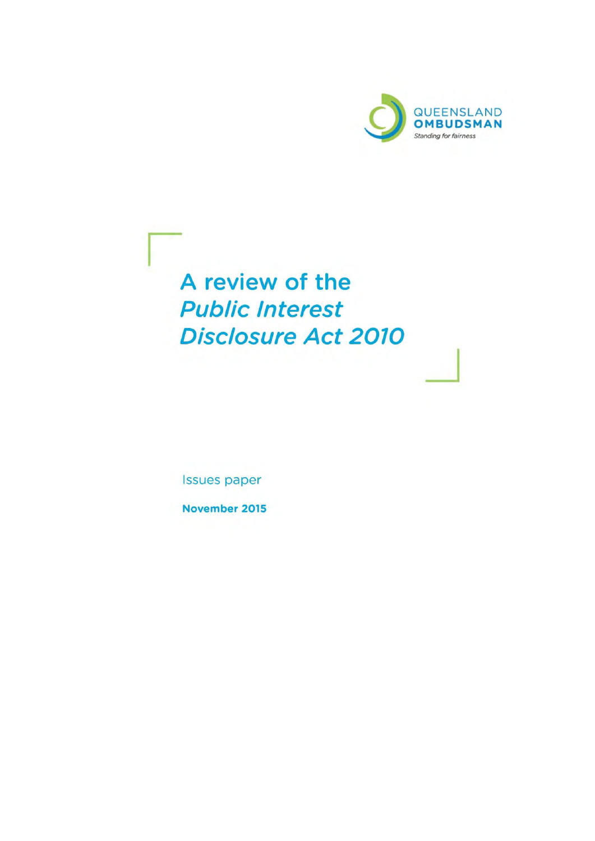

A review of the **Public Interest Disclosure Act 2010** 

**Issues paper** 

November 2015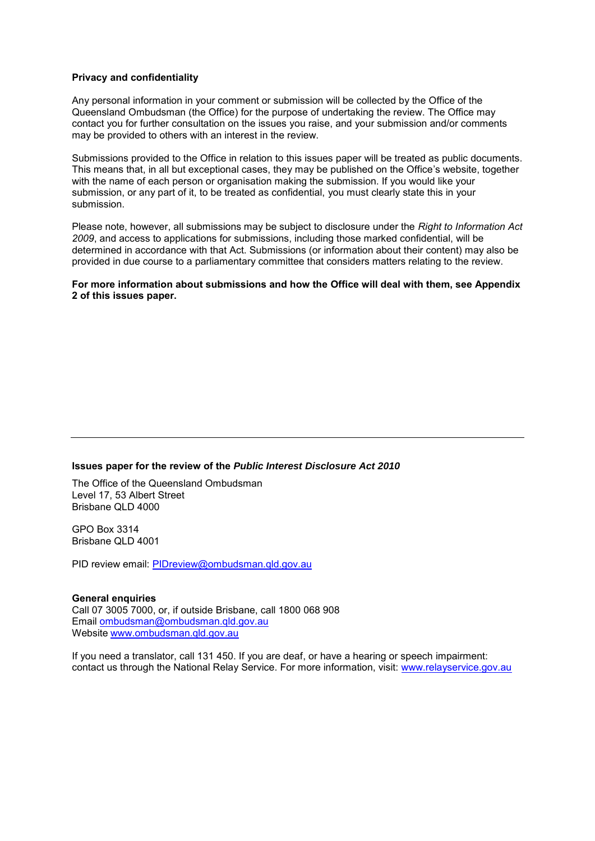#### **Privacy and confidentiality**

Any personal information in your comment or submission will be collected by the Office of the Queensland Ombudsman (the Office) for the purpose of undertaking the review. The Office may contact you for further consultation on the issues you raise, and your submission and/or comments may be provided to others with an interest in the review.

Submissions provided to the Office in relation to this issues paper will be treated as public documents. This means that, in all but exceptional cases, they may be published on the Office's website, together with the name of each person or organisation making the submission. If you would like your submission, or any part of it, to be treated as confidential, you must clearly state this in your submission.

Please note, however, all submissions may be subject to disclosure under the *Right to Information Act 2009*, and access to applications for submissions, including those marked confidential, will be determined in accordance with that Act. Submissions (or information about their content) may also be provided in due course to a parliamentary committee that considers matters relating to the review.

**For more information about submissions and how the Office will deal with them, see Appendix 2 of this issues paper.** 

#### **Issues paper for the review of the** *Public Interest Disclosure Act 2010*

The Office of the Queensland Ombudsman Level 17, 53 Albert Street Brisbane QLD 4000

GPO Box 3314 Brisbane QLD 4001

PID review email: [PIDreview@ombudsman.qld.gov.au](mailto:PIDreview@ombudsman.qld.gov.au)

**General enquiries**  Call 07 3005 7000, or, if outside Brisbane, call 1800 068 908 Email [ombudsman@ombudsman.qld.gov.au](mailto:ombudsman@ombudsman.qld.gov.au) Website [www.ombudsman.qld.gov.au](http://www.ombudsman.qld.gov.au/)

If you need a translator, call 131 450. If you are deaf, or have a hearing or speech impairment: contact us through the [National Relay Service.](http://relayservice.gov.au/support/training/nrs-call-numbers/) For more information, visit: [www.relayservice.gov.au](http://www.relayservice.gov.au/)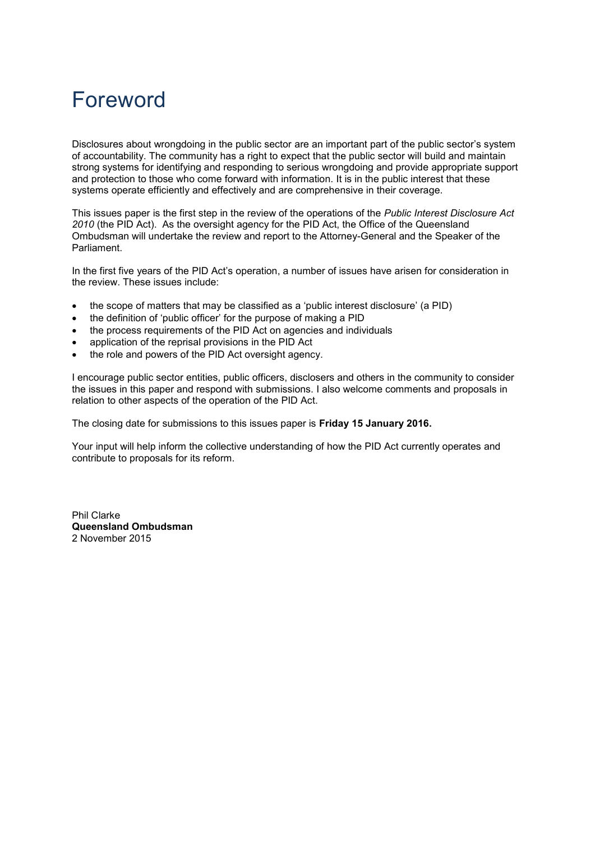# Foreword

Disclosures about wrongdoing in the public sector are an important part of the public sector's system of accountability. The community has a right to expect that the public sector will build and maintain strong systems for identifying and responding to serious wrongdoing and provide appropriate support and protection to those who come forward with information. It is in the public interest that these systems operate efficiently and effectively and are comprehensive in their coverage.

This issues paper is the first step in the review of the operations of the *Public Interest Disclosure Act 2010* (the PID Act). As the oversight agency for the PID Act, the Office of the Queensland Ombudsman will undertake the review and report to the Attorney-General and the Speaker of the Parliament.

In the first five years of the PID Act's operation, a number of issues have arisen for consideration in the review. These issues include:

- the scope of matters that may be classified as a 'public interest disclosure' (a PID)
- the definition of 'public officer' for the purpose of making a PID
- the process requirements of the PID Act on agencies and individuals
- application of the reprisal provisions in the PID Act
- the role and powers of the PID Act oversight agency.

I encourage public sector entities, public officers, disclosers and others in the community to consider the issues in this paper and respond with submissions. I also welcome comments and proposals in relation to other aspects of the operation of the PID Act.

The closing date for submissions to this issues paper is **Friday 15 January 2016.** 

Your input will help inform the collective understanding of how the PID Act currently operates and contribute to proposals for its reform.

Phil Clarke **Queensland Ombudsman**  2 November 2015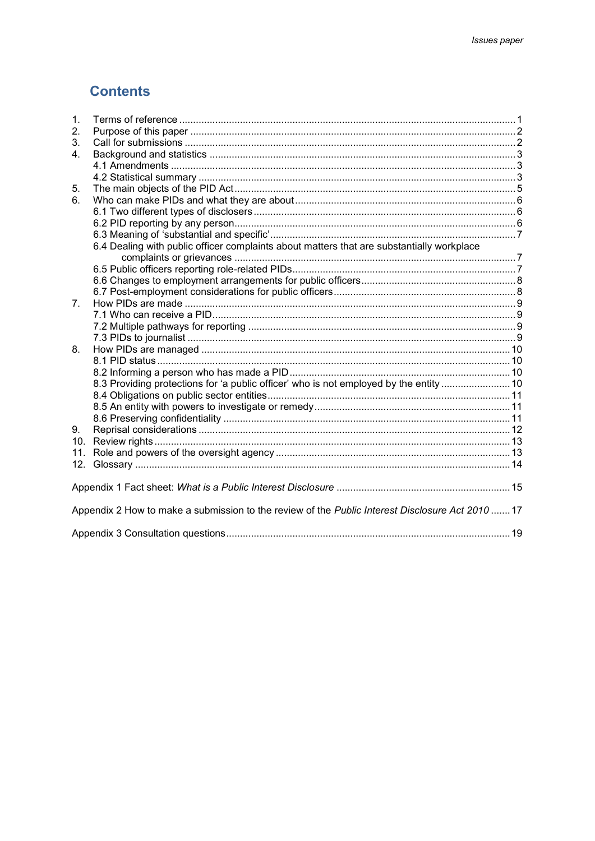# **Contents**

| 2.                                                                                               |  |
|--------------------------------------------------------------------------------------------------|--|
| 3.                                                                                               |  |
| 4.                                                                                               |  |
|                                                                                                  |  |
|                                                                                                  |  |
| 5.                                                                                               |  |
| 6.                                                                                               |  |
|                                                                                                  |  |
|                                                                                                  |  |
|                                                                                                  |  |
| 6.4 Dealing with public officer complaints about matters that are substantially workplace        |  |
|                                                                                                  |  |
|                                                                                                  |  |
|                                                                                                  |  |
|                                                                                                  |  |
| $7_{\scriptscriptstyle{\sim}}$                                                                   |  |
|                                                                                                  |  |
|                                                                                                  |  |
|                                                                                                  |  |
| 8.                                                                                               |  |
|                                                                                                  |  |
|                                                                                                  |  |
| 8.3 Providing protections for 'a public officer' who is not employed by the entity  10           |  |
|                                                                                                  |  |
|                                                                                                  |  |
|                                                                                                  |  |
| 9.                                                                                               |  |
| 10.                                                                                              |  |
| 11.                                                                                              |  |
|                                                                                                  |  |
|                                                                                                  |  |
| Appendix 2 How to make a submission to the review of the Public Interest Disclosure Act 2010  17 |  |
|                                                                                                  |  |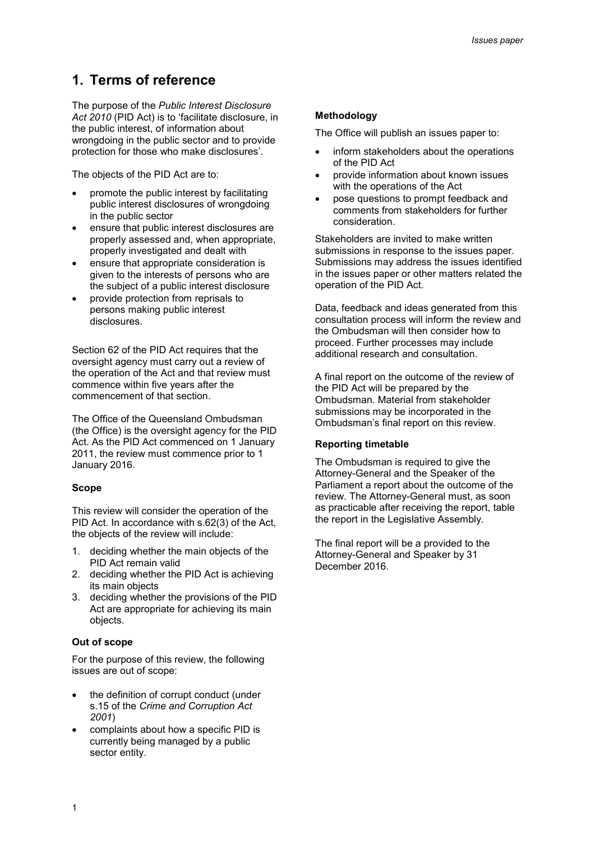# **1. Terms of reference**

The purpose of the *Public Interest Disclosure Act 2010* (PID Act) is to 'facilitate disclosure, in the public interest, of information about wrongdoing in the public sector and to provide protection for those who make disclosures'.

The objects of the PID Act are to:

- promote the public interest by facilitating public interest disclosures of wrongdoing in the public sector
- ensure that public interest disclosures are properly assessed and, when appropriate, properly investigated and dealt with
- ensure that appropriate consideration is given to the interests of persons who are the subject of a public interest disclosure
- provide protection from reprisals to persons making public interest disclosures.

Section 62 of the PID Act requires that the oversight agency must carry out a review of the operation of the Act and that review must commence within five years after the commencement of that section.

The Office of the Queensland Ombudsman (the Office) is the oversight agency for the PID Act. As the PID Act commenced on 1 January 2011, the review must commence prior to 1 January 2016.

#### **Scope**

This review will consider the operation of the PID Act. In accordance with s.62(3) of the Act, the objects of the review will include:

- 1. deciding whether the main objects of the PID Act remain valid
- 2. deciding whether the PID Act is achieving its main objects
- 3. deciding whether the provisions of the PID Act are appropriate for achieving its main objects.

### **Out of scope**

For the purpose of this review, the following issues are out of scope:

- the definition of corrupt conduct (under s.15 of the *Crime and Corruption Act 2001*)
- complaints about how a specific PID is currently being managed by a public sector entity.

### **Methodology**

The Office will publish an issues paper to:

- inform stakeholders about the operations of the PID Act
- provide information about known issues with the operations of the Act
- pose questions to prompt feedback and comments from stakeholders for further consideration.

Stakeholders are invited to make written submissions in response to the issues paper. Submissions may address the issues identified in the issues paper or other matters related the operation of the PID Act.

Data, feedback and ideas generated from this consultation process will inform the review and the Ombudsman will then consider how to proceed. Further processes may include additional research and consultation.

A final report on the outcome of the review of the PID Act will be prepared by the Ombudsman. Material from stakeholder submissions may be incorporated in the Ombudsman's final report on this review.

#### **Reporting timetable**

The Ombudsman is required to give the Attorney-General and the Speaker of the Parliament a report about the outcome of the review. The Attorney-General must, as soon as practicable after receiving the report, table the report in the Legislative Assembly.

The final report will be a provided to the Attorney-General and Speaker by 31 December 2016.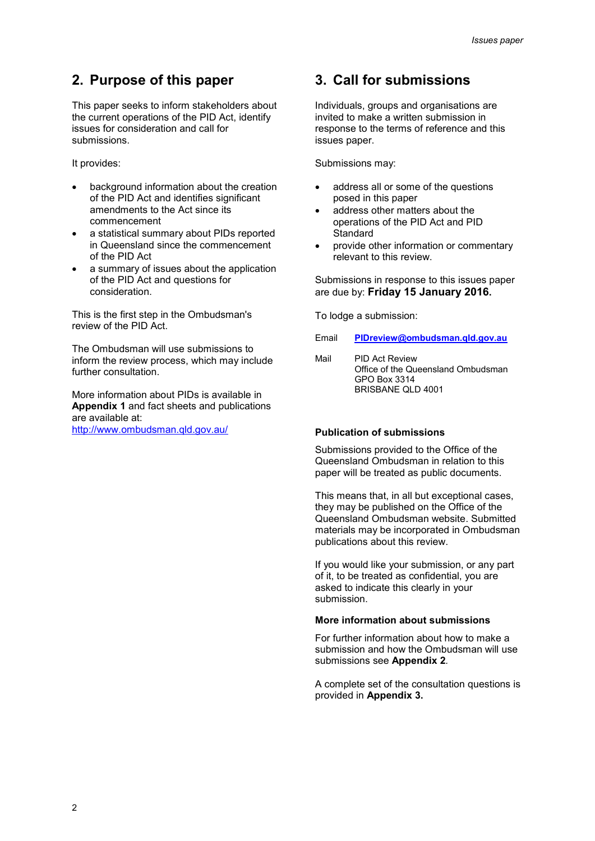# **2. Purpose of this paper**

This paper seeks to inform stakeholders about the current operations of the PID Act, identify issues for consideration and call for submissions.

It provides:

- background information about the creation of the PID Act and identifies significant amendments to the Act since its commencement
- a statistical summary about PIDs reported in Queensland since the commencement of the PID Act
- a summary of issues about the application of the PID Act and questions for consideration.

This is the first step in the Ombudsman's review of the PID Act.

The Ombudsman will use submissions to inform the review process, which may include further consultation

More information about PIDs is available in **Appendix 1** and fact sheets and publications are available at:

<http://www.ombudsman.qld.gov.au/>

# **3. Call for submissions**

Individuals, groups and organisations are invited to make a written submission in response to the terms of reference and this issues paper.

Submissions may:

- address all or some of the questions posed in this paper
- address other matters about the operations of the PID Act and PID **Standard**
- provide other information or commentary relevant to this review.

Submissions in response to this issues paper are due by: **Friday 15 January 2016.** 

To lodge a submission:

Email **[PIDreview@ombudsman.qld.gov.au](mailto:PIDreview@ombudsman.qld.gov.au)**

Mail PID Act Review Office of the Queensland Ombudsman GPO Box 3314 BRISBANE QLD 4001

#### **Publication of submissions**

Submissions provided to the Office of the Queensland Ombudsman in relation to this paper will be treated as public documents.

This means that, in all but exceptional cases, they may be published on the Office of the Queensland Ombudsman website. Submitted materials may be incorporated in Ombudsman publications about this review.

If you would like your submission, or any part of it, to be treated as confidential, you are asked to indicate this clearly in your submission.

### **More information about submissions**

For further information about how to make a submission and how the Ombudsman will use submissions see **Appendix 2***.* 

A complete set of the consultation questions is provided in **Appendix 3.**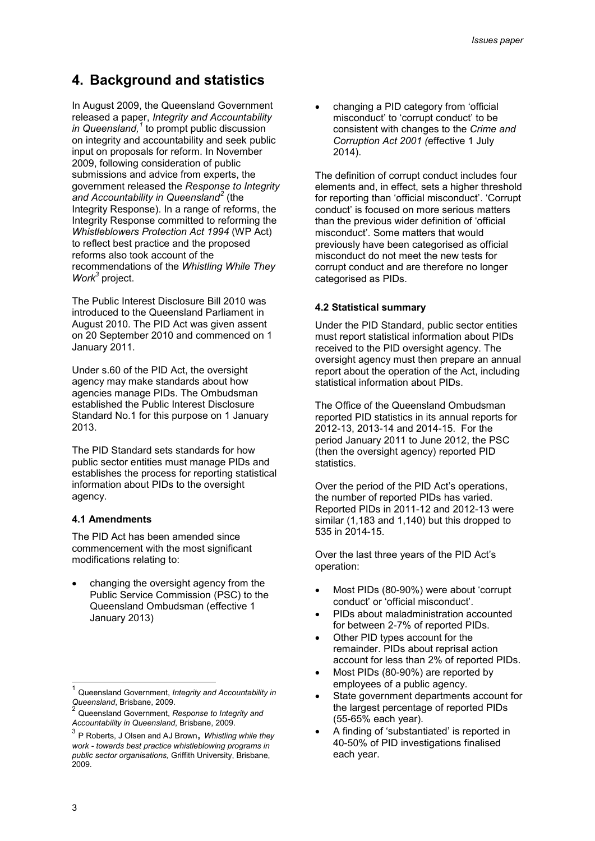# **4. Background and statistics**

In August 2009, the Queensland Government released a paper, *Integrity and Accountability in Queensland,<sup>1</sup>* to prompt public discussion on integrity and accountability and seek public input on proposals for reform. In November 2009, following consideration of public submissions and advice from experts, the government released the *Response to Integrity and Accountability in Queensland<sup>2</sup>* (the Integrity Response). In a range of reforms, the Integrity Response committed to reforming the *Whistleblowers Protection Act 1994* (WP Act) to reflect best practice and the proposed reforms also took account of the recommendations of the *Whistling While They Work<sup>3</sup>* project.

The Public Interest Disclosure Bill 2010 was introduced to the Queensland Parliament in August 2010. The PID Act was given assent on 20 September 2010 and commenced on 1 January 2011.

Under s.60 of the PID Act, the oversight agency may make standards about how agencies manage PIDs. The Ombudsman established the Public Interest Disclosure Standard No.1 for this purpose on 1 January 2013.

The PID Standard sets standards for how public sector entities must manage PIDs and establishes the process for reporting statistical information about PIDs to the oversight agency.

#### **4.1 Amendments**

The PID Act has been amended since commencement with the most significant modifications relating to:

 changing the oversight agency from the Public Service Commission (PSC) to the Queensland Ombudsman (effective 1 January 2013)

 changing a PID category from 'official misconduct' to 'corrupt conduct' to be consistent with changes to the *Crime and Corruption Act 2001 (*effective 1 July 2014).

The definition of corrupt conduct includes four elements and, in effect, sets a higher threshold for reporting than 'official misconduct'. 'Corrupt conduct' is focused on more serious matters than the previous wider definition of 'official misconduct'. Some matters that would previously have been categorised as official misconduct do not meet the new tests for corrupt conduct and are therefore no longer categorised as PIDs.

#### **4.2 Statistical summary**

Under the PID Standard, public sector entities must report statistical information about PIDs received to the PID oversight agency. The oversight agency must then prepare an annual report about the operation of the Act, including statistical information about PIDs.

The Office of the Queensland Ombudsman reported PID statistics in its annual reports for 2012-13, 2013-14 and 2014-15. For the period January 2011 to June 2012, the PSC (then the oversight agency) reported PID statistics.

Over the period of the PID Act's operations, the number of reported PIDs has varied. Reported PIDs in 2011-12 and 2012-13 were similar (1,183 and 1,140) but this dropped to 535 in 2014-15.

Over the last three years of the PID Act's operation:

- Most PIDs (80-90%) were about 'corrupt conduct' or 'official misconduct'.
- PIDs about maladministration accounted for between 2-7% of reported PIDs.
- Other PID types account for the remainder. PIDs about reprisal action account for less than 2% of reported PIDs.
- Most PIDs (80-90%) are reported by employees of a public agency.
- State government departments account for the largest percentage of reported PIDs (55-65% each year).
- A finding of 'substantiated' is reported in 40-50% of PID investigations finalised each year.

Ę

<sup>1</sup> Queensland Government, *Integrity and Accountability in Queensland*, Brisbane, 2009. 2

Queensland Government, *Response to Integrity and Accountability in Queensland*, Brisbane, 2009.

<sup>3</sup> P Roberts, J Olsen and AJ Brown, *Whistling while they work - towards best practice whistleblowing programs in public sector organisations,* Griffith University, Brisbane, 2009.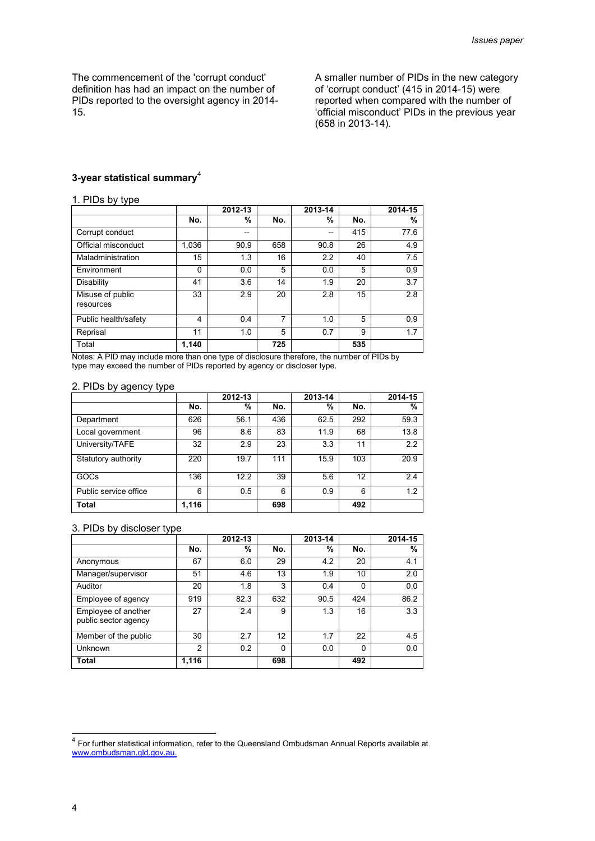The commencement of the 'corrupt conduct' definition has had an impact on the number of PIDs reported to the oversight agency in 2014- 15.

A smaller number of PIDs in the new category of 'corrupt conduct' (415 in 2014-15) were reported when compared with the number of 'official misconduct' PIDs in the previous year (658 in 2013-14).

#### **3-year statistical summary**<sup>4</sup>

#### 1. PIDs by type

|                               |       | 2012-13 |     | 2013-14 |     | 2014-15 |
|-------------------------------|-------|---------|-----|---------|-----|---------|
|                               | No.   | %       | No. | %       | No. | %       |
| Corrupt conduct               |       | --      |     | --      | 415 | 77.6    |
| Official misconduct           | 1,036 | 90.9    | 658 | 90.8    | 26  | 4.9     |
| Maladministration             | 15    | 1.3     | 16  | 2.2     | 40  | 7.5     |
| Environment                   | 0     | 0.0     | 5   | 0.0     | 5   | 0.9     |
| Disability                    | 41    | 3.6     | 14  | 1.9     | 20  | 3.7     |
| Misuse of public<br>resources | 33    | 2.9     | 20  | 2.8     | 15  | 2.8     |
| Public health/safety          | 4     | 0.4     | 7   | 1.0     | 5   | 0.9     |
| Reprisal                      | 11    | 1.0     | 5   | 0.7     | 9   | 1.7     |
| Total                         | 1,140 |         | 725 |         | 535 |         |

Notes: A PID may include more than one type of disclosure therefore, the number of PIDs by type may exceed the number of PIDs reported by agency or discloser type.

#### 2. PIDs by agency type

|                       |       | 2012-13 |     | 2013-14 |     | 2014-15 |
|-----------------------|-------|---------|-----|---------|-----|---------|
|                       | No.   | %       | No. | %       | No. | %       |
| Department            | 626   | 56.1    | 436 | 62.5    | 292 | 59.3    |
| Local government      | 96    | 8.6     | 83  | 11.9    | 68  | 13.8    |
| University/TAFE       | 32    | 2.9     | 23  | 3.3     | 11  | 2.2     |
| Statutory authority   | 220   | 19.7    | 111 | 15.9    | 103 | 20.9    |
| GOCs                  | 136   | 12.2    | 39  | 5.6     | 12  | 2.4     |
| Public service office | 6     | 0.5     | 6   | 0.9     | 6   | 1.2     |
| <b>Total</b>          | 1,116 |         | 698 |         | 492 |         |

#### 3. PIDs by discloser type

|                                             |                | 2012-13 |          | 2013-14 |          | 2014-15 |
|---------------------------------------------|----------------|---------|----------|---------|----------|---------|
|                                             | No.            | %       | No.      | %       | No.      | %       |
| Anonymous                                   | 67             | 6.0     | 29       | 4.2     | 20       | 4.1     |
| Manager/supervisor                          | 51             | 4.6     | 13       | 1.9     | 10       | 2.0     |
| Auditor                                     | 20             | 1.8     | 3        | 0.4     | $\Omega$ | 0.0     |
| Employee of agency                          | 919            | 82.3    | 632      | 90.5    | 424      | 86.2    |
| Employee of another<br>public sector agency | 27             | 2.4     | 9        | 1.3     | 16       | 3.3     |
| Member of the public                        | 30             | 2.7     | 12       | 1.7     | 22       | 4.5     |
| Unknown                                     | $\mathfrak{p}$ | 0.2     | $\Omega$ | 0.0     | 0        | 0.0     |
| <b>Total</b>                                | 1,116          |         | 698      |         | 492      |         |

<sup>&</sup>lt;sup>4</sup> For further statistical information, refer to the Queensland Ombudsman Annual Reports available at [www.ombudsman.qld.gov.au.](http://www.ombudsman.qld.gov.au/)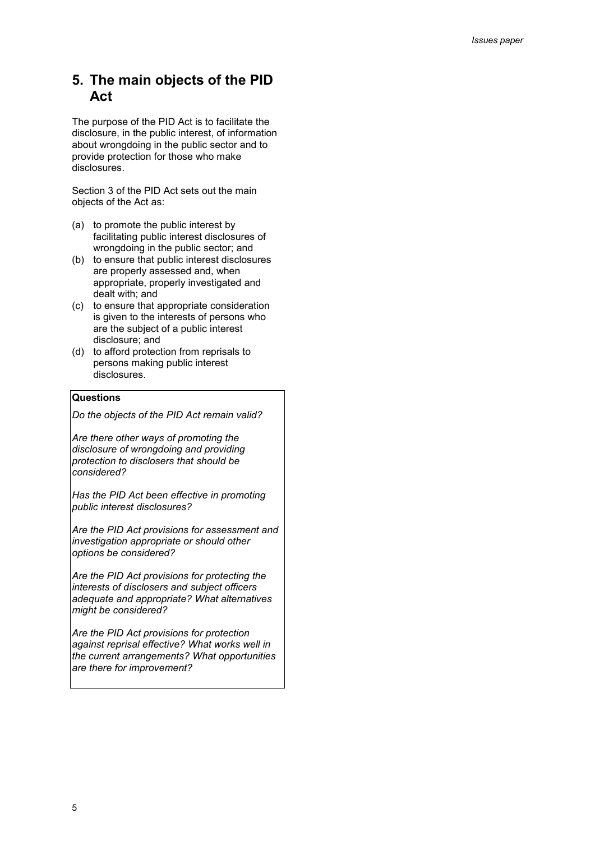# **5. The main objects of the PID Act**

The purpose of the PID Act is to facilitate the disclosure, in the public interest, of information about wrongdoing in the public sector and to provide protection for those who make disclosures.

Section 3 of the PID Act sets out the main objects of the Act as:

- (a) to promote the public interest by facilitating public interest disclosures of wrongdoing in the public sector; and
- (b) to ensure that public interest disclosures are properly assessed and, when appropriate, properly investigated and dealt with; and
- (c) to ensure that appropriate consideration is given to the interests of persons who are the subject of a public interest disclosure; and
- (d) to afford protection from reprisals to persons making public interest disclosures.

### **Questions**

*Do the objects of the PID Act remain valid?*

*Are there other ways of promoting the disclosure of wrongdoing and providing protection to disclosers that should be considered?*

*Has the PID Act been effective in promoting public interest disclosures?* 

*Are the PID Act provisions for assessment and investigation appropriate or should other options be considered?* 

*Are the PID Act provisions for protecting the interests of disclosers and subject officers adequate and appropriate? What alternatives might be considered?*

*Are the PID Act provisions for protection against reprisal effective? What works well in the current arrangements? What opportunities are there for improvement?*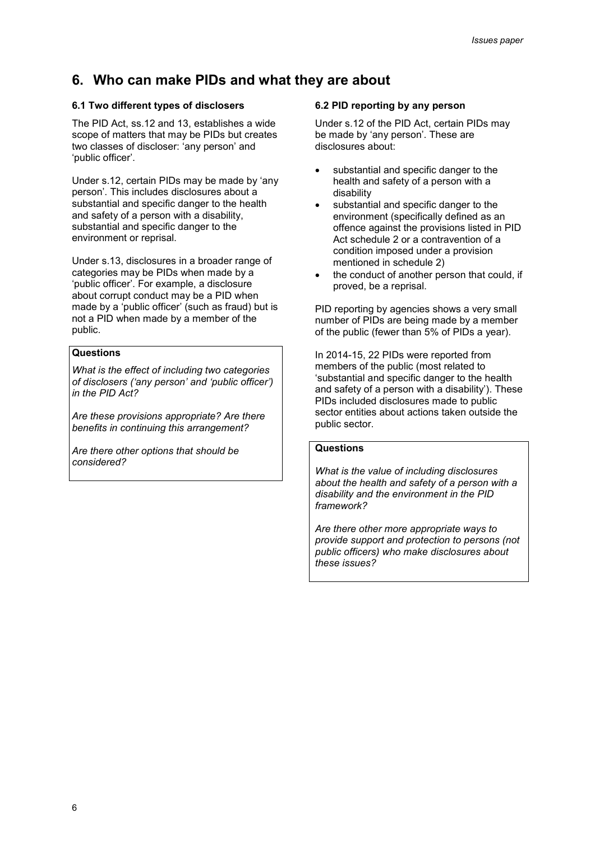# **6. Who can make PIDs and what they are about**

### **6.1 Two different types of disclosers**

The PID Act, ss.12 and 13, establishes a wide scope of matters that may be PIDs but creates two classes of discloser: 'any person' and 'public officer'.

Under s.12, certain PIDs may be made by 'any person'. This includes disclosures about a substantial and specific danger to the health and safety of a person with a disability, substantial and specific danger to the environment or reprisal.

Under s.13, disclosures in a broader range of categories may be PIDs when made by a 'public officer'. For example, a disclosure about corrupt conduct may be a PID when made by a 'public officer' (such as fraud) but is not a PID when made by a member of the public.

#### **Questions**

*What is the effect of including two categories of disclosers ('any person' and 'public officer') in the PID Act?* 

*Are these provisions appropriate? Are there benefits in continuing this arrangement?* 

*Are there other options that should be considered?*

### **6.2 PID reporting by any person**

Under s.12 of the PID Act, certain PIDs may be made by 'any person'. These are disclosures about:

- substantial and specific danger to the health and safety of a person with a disability
- substantial and specific danger to the environment (specifically defined as an offence against the provisions listed in PID Act schedule 2 or a contravention of a condition imposed under a provision mentioned in schedule 2)
- the conduct of another person that could, if proved, be a reprisal.

PID reporting by agencies shows a very small number of PIDs are being made by a member of the public (fewer than 5% of PIDs a year).

In 2014-15, 22 PIDs were reported from members of the public (most related to 'substantial and specific danger to the health and safety of a person with a disability'). These PIDs included disclosures made to public sector entities about actions taken outside the public sector.

#### **Questions**

*What is the value of including disclosures about the health and safety of a person with a disability and the environment in the PID framework?* 

*Are there other more appropriate ways to provide support and protection to persons (not public officers) who make disclosures about these issues?*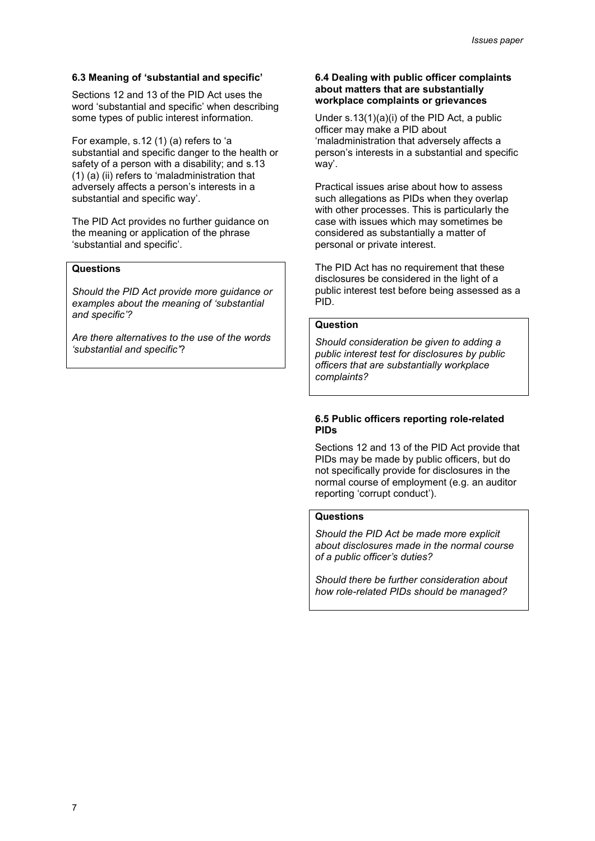#### **6.3 Meaning of 'substantial and specific'**

Sections 12 and 13 of the PID Act uses the word 'substantial and specific' when describing some types of public interest information.

For example, s.12 (1) (a) refers to 'a substantial and specific danger to the health or safety of a person with a disability; and s.13 (1) (a) (ii) refers to 'maladministration that adversely affects a person's interests in a substantial and specific way'.

The PID Act provides no further guidance on the meaning or application of the phrase 'substantial and specific'.

#### **Questions**

*Should the PID Act provide more guidance or examples about the meaning of 'substantial and specific'?* 

*Are there alternatives to the use of the words 'substantial and specific'*?

#### **6.4 Dealing with public officer complaints about matters that are substantially workplace complaints or grievances**

Under s.13(1)(a)(i) of the PID Act, a public officer may make a PID about 'maladministration that adversely affects a person's interests in a substantial and specific way'.

Practical issues arise about how to assess such allegations as PIDs when they overlap with other processes. This is particularly the case with issues which may sometimes be considered as substantially a matter of personal or private interest.

The PID Act has no requirement that these disclosures be considered in the light of a public interest test before being assessed as a PID.

# **Question**

*Should consideration be given to adding a public interest test for disclosures by public officers that are substantially workplace complaints?*

#### **6.5 Public officers reporting role-related PIDs**

Sections 12 and 13 of the PID Act provide that PIDs may be made by public officers, but do not specifically provide for disclosures in the normal course of employment (e.g. an auditor reporting 'corrupt conduct').

#### **Questions**

*Should the PID Act be made more explicit about disclosures made in the normal course of a public officer's duties?* 

*Should there be further consideration about how role-related PIDs should be managed?*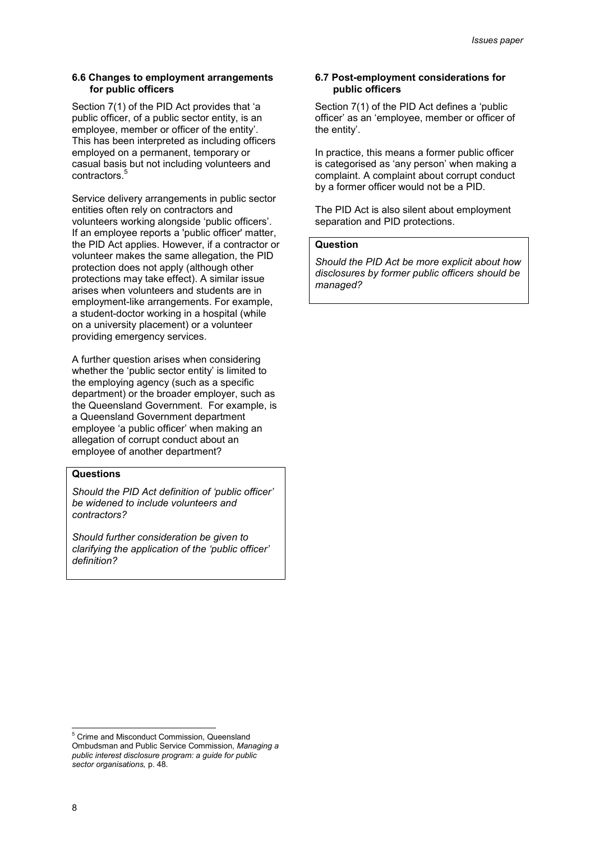#### **6.6 Changes to employment arrangements for public officers**

Section 7(1) of the PID Act provides that 'a public officer, of a public sector entity, is an employee, member or officer of the entity'. This has been interpreted as including officers employed on a permanent, temporary or casual basis but not including volunteers and contractors. I.

Service delivery arrangements in public sector entities often rely on contractors and volunteers working alongside 'public officers'. If an employee reports a 'public officer' matter, the PID Act applies. However, if a contractor or volunteer makes the same allegation, the PID protection does not apply (although other protections may take effect). A similar issue arises when volunteers and students are in employment-like arrangements. For example, a student-doctor working in a hospital (while on a university placement) or a volunteer providing emergency services.

A further question arises when considering whether the 'public sector entity' is limited to the employing agency (such as a specific department) or the broader employer, such as the Queensland Government. For example, is a Queensland Government department employee 'a public officer' when making an allegation of corrupt conduct about an employee of another department?

#### **Questions**

*Should the PID Act definition of 'public officer' be widened to include volunteers and contractors?* 

*Should further consideration be given to clarifying the application of the 'public officer' definition?* 

#### **6.7 Post-employment considerations for public officers**

Section 7(1) of the PID Act defines a 'public officer' as an 'employee, member or officer of the entity'.

In practice, this means a former public officer is categorised as 'any person' when making a complaint. A complaint about corrupt conduct by a former officer would not be a PID.

The PID Act is also silent about employment separation and PID protections.

#### **Question**

*Should the PID Act be more explicit about how disclosures by former public officers should be managed?*

 5 Crime and Misconduct Commission, Queensland Ombudsman and Public Service Commission, *Managing a public interest disclosure program: a guide for public sector organisations,* p. 48.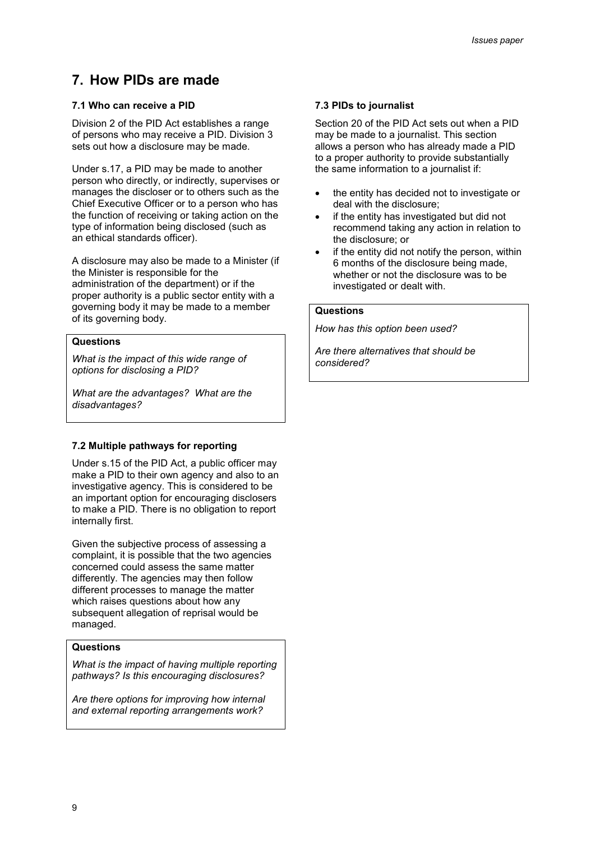# **7. How PIDs are made**

### **7.1 Who can receive a PID**

Division 2 of the PID Act establishes a range of persons who may receive a PID. Division 3 sets out how a disclosure may be made.

Under s.17, a PID may be made to another person who directly, or indirectly, supervises or manages the discloser or to others such as the Chief Executive Officer or to a person who has the function of receiving or taking action on the type of information being disclosed (such as an ethical standards officer).

A disclosure may also be made to a Minister (if the Minister is responsible for the administration of the department) or if the proper authority is a public sector entity with a governing body it may be made to a member of its governing body.

#### **Questions**

*What is the impact of this wide range of options for disclosing a PID?* 

*What are the advantages? What are the disadvantages?*

#### **7.2 Multiple pathways for reporting**

Under s.15 of the PID Act, a public officer may make a PID to their own agency and also to an investigative agency. This is considered to be an important option for encouraging disclosers to make a PID. There is no obligation to report internally first.

Given the subjective process of assessing a complaint, it is possible that the two agencies concerned could assess the same matter differently. The agencies may then follow different processes to manage the matter which raises questions about how any subsequent allegation of reprisal would be managed.

#### **Questions**

*What is the impact of having multiple reporting pathways? Is this encouraging disclosures?*

*Are there options for improving how internal and external reporting arrangements work?* 

### **7.3 PIDs to journalist**

Section 20 of the PID Act sets out when a PID may be made to a journalist. This section allows a person who has already made a PID to a proper authority to provide substantially the same information to a journalist if:

- the entity has decided not to investigate or deal with the disclosure;
- if the entity has investigated but did not recommend taking any action in relation to the disclosure; or
- if the entity did not notify the person, within 6 months of the disclosure being made, whether or not the disclosure was to be investigated or dealt with.

#### **Questions**

*How has this option been used?*

*Are there alternatives that should be considered?*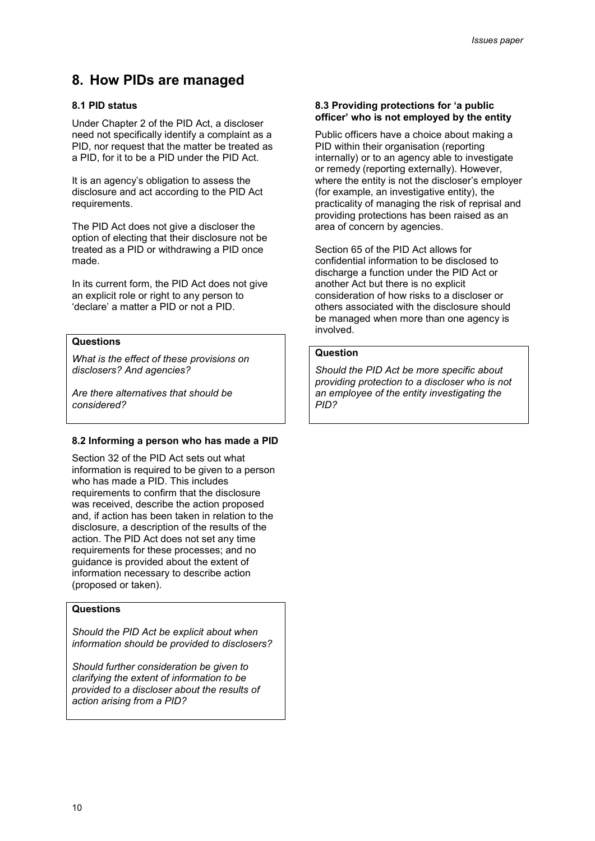# **8. How PIDs are managed**

### **8.1 PID status**

Under Chapter 2 of the PID Act, a discloser need not specifically identify a complaint as a PID, nor request that the matter be treated as a PID, for it to be a PID under the PID Act.

It is an agency's obligation to assess the disclosure and act according to the PID Act requirements.

The PID Act does not give a discloser the option of electing that their disclosure not be treated as a PID or withdrawing a PID once made.

In its current form, the PID Act does not give an explicit role or right to any person to 'declare' a matter a PID or not a PID.

### **Questions**

*What is the effect of these provisions on disclosers? And agencies?*

*Are there alternatives that should be considered?*

#### **8.2 Informing a person who has made a PID**

Section 32 of the PID Act sets out what information is required to be given to a person who has made a PID. This includes requirements to confirm that the disclosure was received, describe the action proposed and, if action has been taken in relation to the disclosure, a description of the results of the action. The PID Act does not set any time requirements for these processes; and no guidance is provided about the extent of information necessary to describe action (proposed or taken).

### **Questions**

*Should the PID Act be explicit about when information should be provided to disclosers?* 

*Should further consideration be given to clarifying the extent of information to be provided to a discloser about the results of action arising from a PID?* 

#### **8.3 Providing protections for 'a public officer' who is not employed by the entity**

Public officers have a choice about making a PID within their organisation (reporting internally) or to an agency able to investigate or remedy (reporting externally). However, where the entity is not the discloser's employer (for example, an investigative entity), the practicality of managing the risk of reprisal and providing protections has been raised as an area of concern by agencies.

Section 65 of the PID Act allows for confidential information to be disclosed to discharge a function under the PID Act or another Act but there is no explicit consideration of how risks to a discloser or others associated with the disclosure should be managed when more than one agency is involved.

#### **Question**

*Should the PID Act be more specific about providing protection to a discloser who is not an employee of the entity investigating the PID?*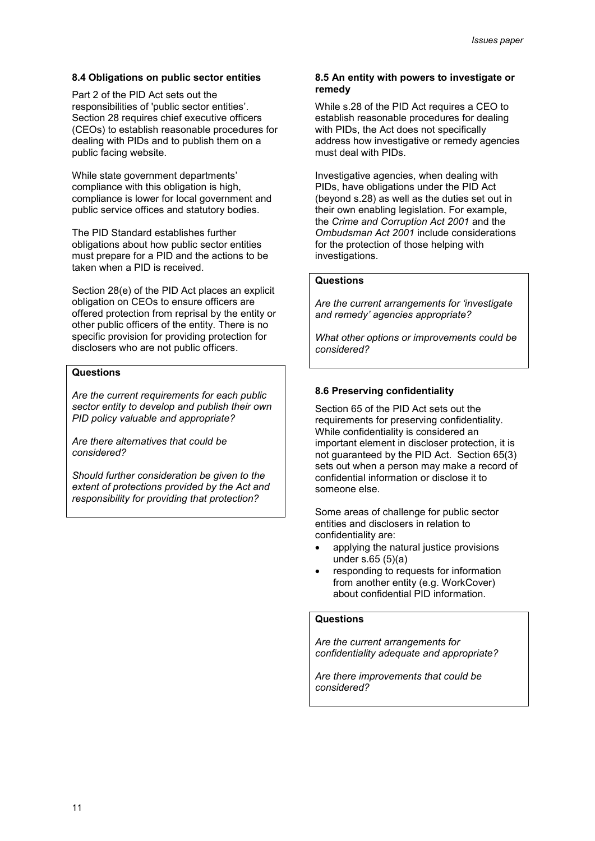#### **8.4 Obligations on public sector entities**

Part 2 of the PID Act sets out the responsibilities of 'public sector entities'. Section 28 requires chief executive officers (CEOs) to establish reasonable procedures for dealing with PIDs and to publish them on a public facing website.

While state government departments' compliance with this obligation is high, compliance is lower for local government and public service offices and statutory bodies.

The PID Standard establishes further obligations about how public sector entities must prepare for a PID and the actions to be taken when a PID is received.

Section 28(e) of the PID Act places an explicit obligation on CEOs to ensure officers are offered protection from reprisal by the entity or other public officers of the entity. There is no specific provision for providing protection for disclosers who are not public officers.

#### **Questions**

*Are the current requirements for each public sector entity to develop and publish their own PID policy valuable and appropriate?* 

*Are there alternatives that could be considered?* 

*Should further consideration be given to the extent of protections provided by the Act and responsibility for providing that protection?* 

#### **8.5 An entity with powers to investigate or remedy**

While s.28 of the PID Act requires a CEO to establish reasonable procedures for dealing with PIDs, the Act does not specifically address how investigative or remedy agencies must deal with PIDs.

Investigative agencies, when dealing with PIDs, have obligations under the PID Act (beyond s.28) as well as the duties set out in their own enabling legislation. For example, the *Crime and Corruption Act 2001* and the *Ombudsman Act 2001* include considerations for the protection of those helping with investigations.

#### **Questions**

*Are the current arrangements for 'investigate and remedy' agencies appropriate?* 

*What other options or improvements could be considered?* 

#### **8.6 Preserving confidentiality**

Section 65 of the PID Act sets out the requirements for preserving confidentiality. While confidentiality is considered an important element in discloser protection, it is not guaranteed by the PID Act. Section 65(3) sets out when a person may make a record of confidential information or disclose it to someone else.

Some areas of challenge for public sector entities and disclosers in relation to confidentiality are:

- applying the natural justice provisions under s.65 (5)(a)
- responding to requests for information from another entity (e.g. WorkCover) about confidential PID information.

### **Questions**

*Are the current arrangements for confidentiality adequate and appropriate?* 

*Are there improvements that could be considered?*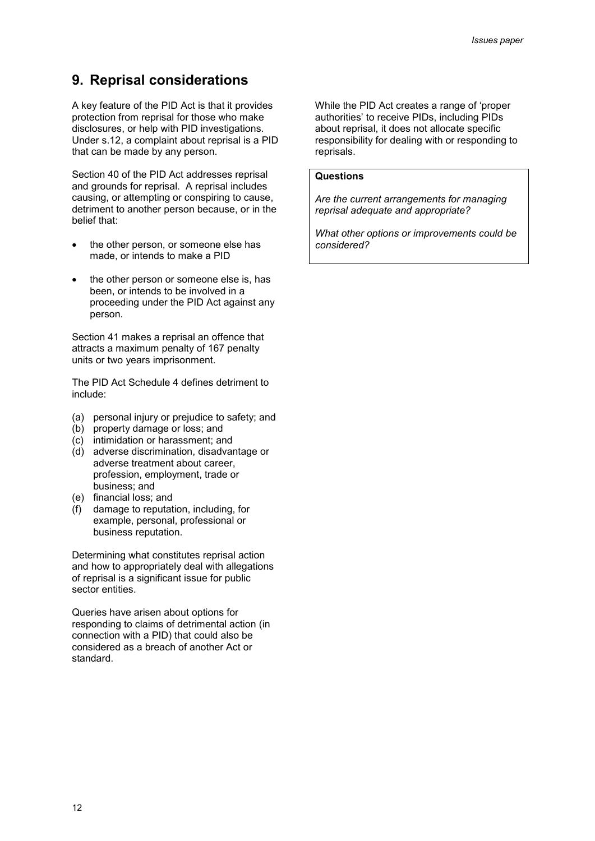# **9. Reprisal considerations**

A key feature of the PID Act is that it provides protection from reprisal for those who make disclosures, or help with PID investigations. Under s.12, a complaint about reprisal is a PID that can be made by any person.

Section 40 of the PID Act addresses reprisal and grounds for reprisal. A reprisal includes causing, or attempting or conspiring to cause, detriment to another person because, or in the belief that:

- the other person, or someone else has made, or intends to make a PID
- the other person or someone else is, has been, or intends to be involved in a proceeding under the PID Act against any person.

Section 41 makes a reprisal an offence that attracts a maximum penalty of 167 penalty units or two years imprisonment.

The PID Act Schedule 4 defines detriment to include:

- (a) personal injury or prejudice to safety; and
- (b) property damage or loss; and
- (c) intimidation or harassment; and
- (d) adverse discrimination, disadvantage or adverse treatment about career, profession, employment, trade or business; and
- (e) financial loss; and
- (f) damage to reputation, including, for example, personal, professional or business reputation.

Determining what constitutes reprisal action and how to appropriately deal with allegations of reprisal is a significant issue for public sector entities.

Queries have arisen about options for responding to claims of detrimental action (in connection with a PID) that could also be considered as a breach of another Act or standard.

While the PID Act creates a range of 'proper authorities' to receive PIDs, including PIDs about reprisal, it does not allocate specific responsibility for dealing with or responding to reprisals.

#### **Questions**

*Are the current arrangements for managing reprisal adequate and appropriate?* 

*What other options or improvements could be considered?*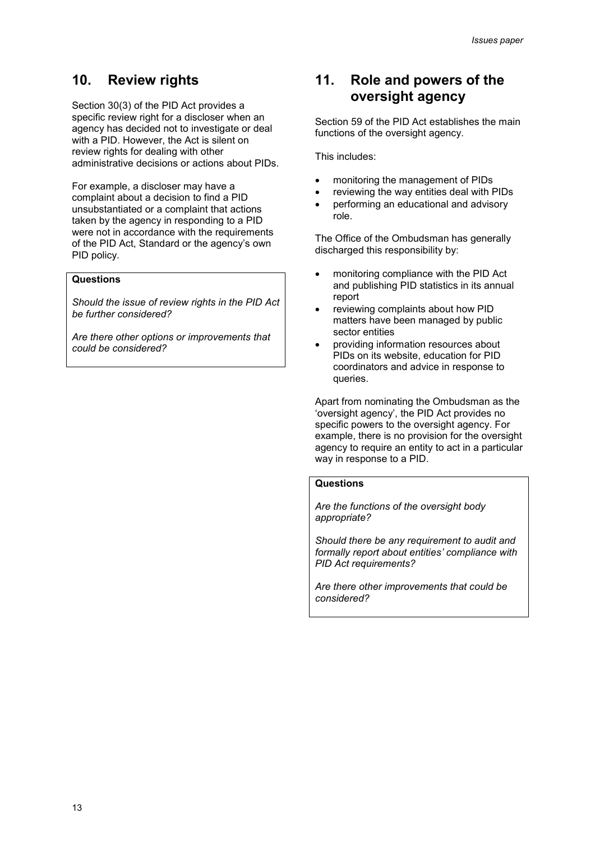# **10. Review rights**

Section 30(3) of the PID Act provides a specific review right for a discloser when an agency has decided not to investigate or deal with a PID. However, the Act is silent on review rights for dealing with other administrative decisions or actions about PIDs.

For example, a discloser may have a complaint about a decision to find a PID unsubstantiated or a complaint that actions taken by the agency in responding to a PID were not in accordance with the requirements of the PID Act, Standard or the agency's own PID policy.

# **Questions**

*Should the issue of review rights in the PID Act be further considered?* 

*Are there other options or improvements that could be considered?* 

# **11. Role and powers of the oversight agency**

Section 59 of the PID Act establishes the main functions of the oversight agency.

This includes:

- monitoring the management of PIDs
- reviewing the way entities deal with PIDs
- performing an educational and advisory role.

The Office of the Ombudsman has generally discharged this responsibility by:

- monitoring compliance with the PID Act and publishing PID statistics in its annual report
- reviewing complaints about how PID matters have been managed by public sector entities
- providing information resources about PIDs on its website, education for PID coordinators and advice in response to queries.

Apart from nominating the Ombudsman as the 'oversight agency', the PID Act provides no specific powers to the oversight agency. For example, there is no provision for the oversight agency to require an entity to act in a particular way in response to a PID.

#### **Questions**

*Are the functions of the oversight body appropriate?* 

*Should there be any requirement to audit and formally report about entities' compliance with PID Act requirements?* 

*Are there other improvements that could be considered?*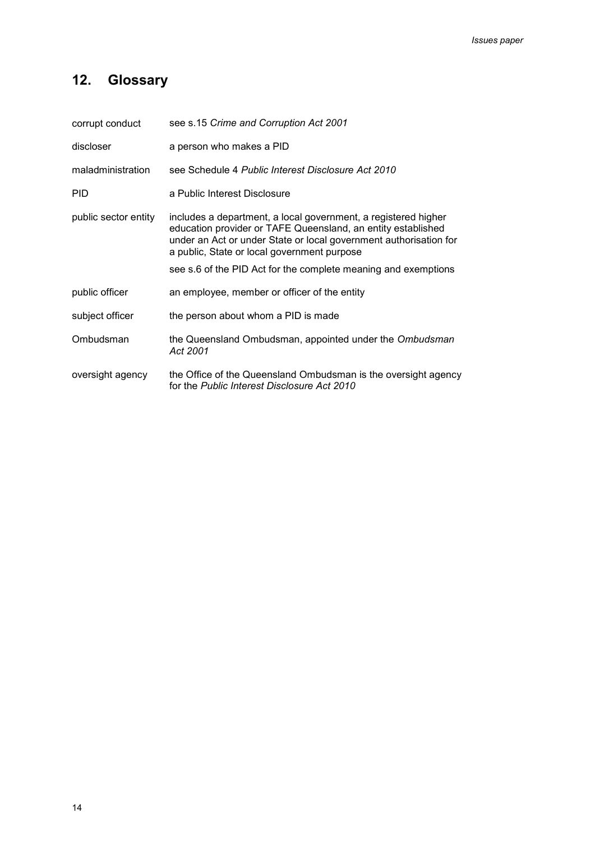# **12. Glossary**

| corrupt conduct      | see s.15 Crime and Corruption Act 2001                                                                                                                                                                                                                                                                               |
|----------------------|----------------------------------------------------------------------------------------------------------------------------------------------------------------------------------------------------------------------------------------------------------------------------------------------------------------------|
| discloser            | a person who makes a PID                                                                                                                                                                                                                                                                                             |
| maladministration    | see Schedule 4 Public Interest Disclosure Act 2010                                                                                                                                                                                                                                                                   |
| <b>PID</b>           | a Public Interest Disclosure                                                                                                                                                                                                                                                                                         |
| public sector entity | includes a department, a local government, a registered higher<br>education provider or TAFE Queensland, an entity established<br>under an Act or under State or local government authorisation for<br>a public, State or local government purpose<br>see s.6 of the PID Act for the complete meaning and exemptions |
| public officer       | an employee, member or officer of the entity                                                                                                                                                                                                                                                                         |
| subject officer      | the person about whom a PID is made                                                                                                                                                                                                                                                                                  |
| Ombudsman            | the Queensland Ombudsman, appointed under the Ombudsman<br>Act 2001                                                                                                                                                                                                                                                  |
| oversight agency     | the Office of the Queensland Ombudsman is the oversight agency<br>for the Public Interest Disclosure Act 2010                                                                                                                                                                                                        |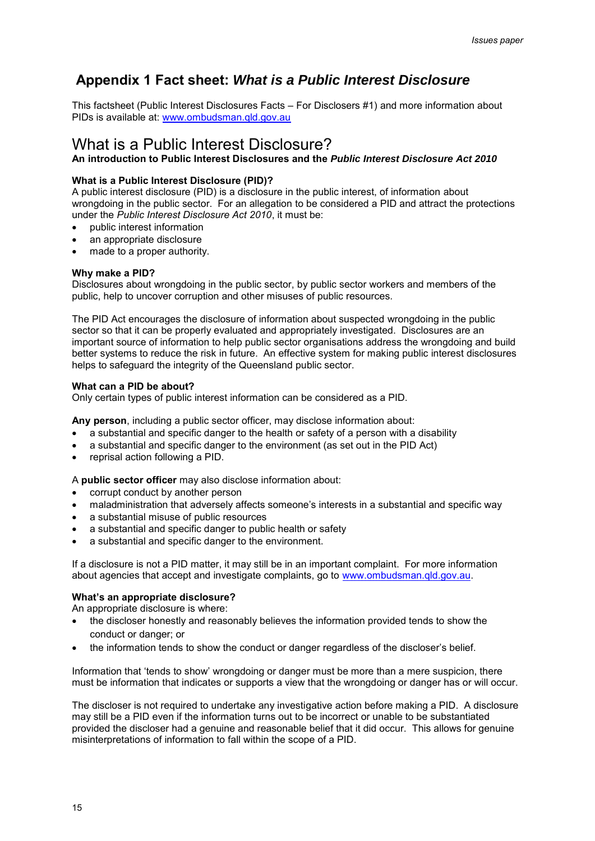# **Appendix 1 Fact sheet:** *What is a Public Interest Disclosure*

This factsheet (Public Interest Disclosures Facts – For Disclosers #1) and more information about PIDs is available at: [www.ombudsman.qld.gov.au](http://www.ombudsman.qld.gov.au/)

# What is a Public Interest Disclosure?

**An introduction to Public Interest Disclosures and the** *Public Interest Disclosure Act 2010*

### **What is a Public Interest Disclosure (PID)?**

A public interest disclosure (PID) is a disclosure in the public interest, of information about wrongdoing in the public sector. For an allegation to be considered a PID and attract the protections under the *Public Interest Disclosure Act 2010*, it must be:

- public interest information
- an appropriate disclosure
- made to a proper authority.

### **Why make a PID?**

Disclosures about wrongdoing in the public sector, by public sector workers and members of the public, help to uncover corruption and other misuses of public resources.

The PID Act encourages the disclosure of information about suspected wrongdoing in the public sector so that it can be properly evaluated and appropriately investigated. Disclosures are an important source of information to help public sector organisations address the wrongdoing and build better systems to reduce the risk in future. An effective system for making public interest disclosures helps to safeguard the integrity of the Queensland public sector.

#### **What can a PID be about?**

Only certain types of public interest information can be considered as a PID.

**Any person**, including a public sector officer, may disclose information about:

- a substantial and specific danger to the health or safety of a person with a disability
- a substantial and specific danger to the environment (as set out in the PID Act)
- reprisal action following a PID.

A **public sector officer** may also disclose information about:

- corrupt conduct by another person
- maladministration that adversely affects someone's interests in a substantial and specific way
- a substantial misuse of public resources
- a substantial and specific danger to public health or safety
- a substantial and specific danger to the environment.

If a disclosure is not a PID matter, it may still be in an important complaint. For more information about agencies that accept and investigate complaints, go to [www.ombudsman.qld.gov.au.](http://www.ombudsman.qld.gov.au/)

#### **What's an appropriate disclosure?**

An appropriate disclosure is where:

- the discloser honestly and reasonably believes the information provided tends to show the conduct or danger; or
- the information tends to show the conduct or danger regardless of the discloser's belief.

Information that 'tends to show' wrongdoing or danger must be more than a mere suspicion, there must be information that indicates or supports a view that the wrongdoing or danger has or will occur.

The discloser is not required to undertake any investigative action before making a PID. A disclosure may still be a PID even if the information turns out to be incorrect or unable to be substantiated provided the discloser had a genuine and reasonable belief that it did occur. This allows for genuine misinterpretations of information to fall within the scope of a PID.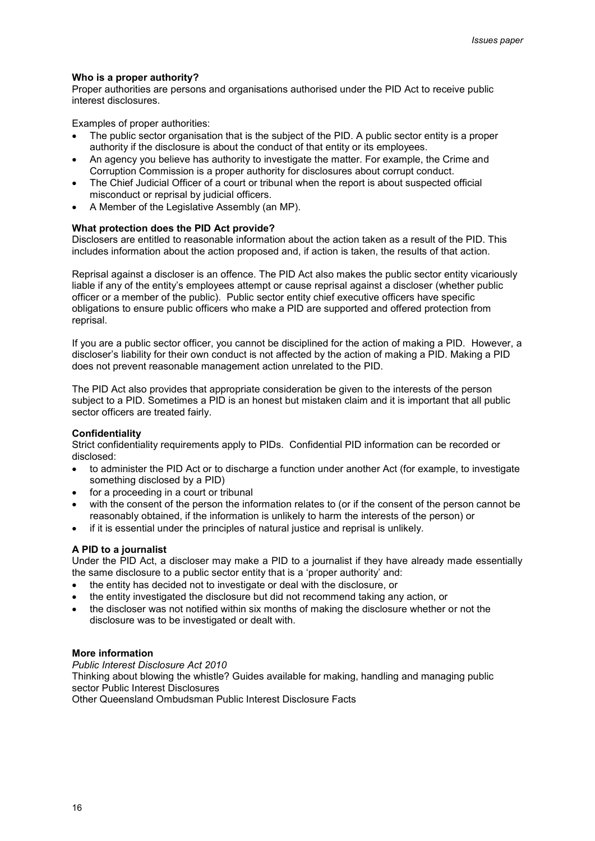#### **Who is a proper authority?**

Proper authorities are persons and organisations authorised under the PID Act to receive public interest disclosures.

Examples of proper authorities:

- The public sector organisation that is the subject of the PID. A public sector entity is a proper authority if the disclosure is about the conduct of that entity or its employees.
- An agency you believe has authority to investigate the matter. For example, the Crime and Corruption Commission is a proper authority for disclosures about corrupt conduct.
- The Chief Judicial Officer of a court or tribunal when the report is about suspected official misconduct or reprisal by judicial officers.
- A Member of the Legislative Assembly (an MP).

#### **What protection does the PID Act provide?**

Disclosers are entitled to reasonable information about the action taken as a result of the PID. This includes information about the action proposed and, if action is taken, the results of that action.

Reprisal against a discloser is an offence. The PID Act also makes the public sector entity vicariously liable if any of the entity's employees attempt or cause reprisal against a discloser (whether public officer or a member of the public). Public sector entity chief executive officers have specific obligations to ensure public officers who make a PID are supported and offered protection from reprisal.

If you are a public sector officer, you cannot be disciplined for the action of making a PID. However, a discloser's liability for their own conduct is not affected by the action of making a PID. Making a PID does not prevent reasonable management action unrelated to the PID.

The PID Act also provides that appropriate consideration be given to the interests of the person subject to a PID. Sometimes a PID is an honest but mistaken claim and it is important that all public sector officers are treated fairly.

#### **Confidentiality**

Strict confidentiality requirements apply to PIDs. Confidential PID information can be recorded or disclosed:

- to administer the PID Act or to discharge a function under another Act (for example, to investigate something disclosed by a PID)
- for a proceeding in a court or tribunal
- with the consent of the person the information relates to (or if the consent of the person cannot be reasonably obtained, if the information is unlikely to harm the interests of the person) or
- if it is essential under the principles of natural justice and reprisal is unlikely.

#### **A PID to a journalist**

Under the PID Act, a discloser may make a PID to a journalist if they have already made essentially the same disclosure to a public sector entity that is a 'proper authority' and:

- the entity has decided not to investigate or deal with the disclosure, or
- the entity investigated the disclosure but did not recommend taking any action, or
- the discloser was not notified within six months of making the disclosure whether or not the disclosure was to be investigated or dealt with.

#### **More information**

*Public Interest Disclosure Act 2010*  Thinking about blowing the whistle? Guides available for making, handling and managing public sector Public Interest Disclosures Other Queensland Ombudsman Public Interest Disclosure Facts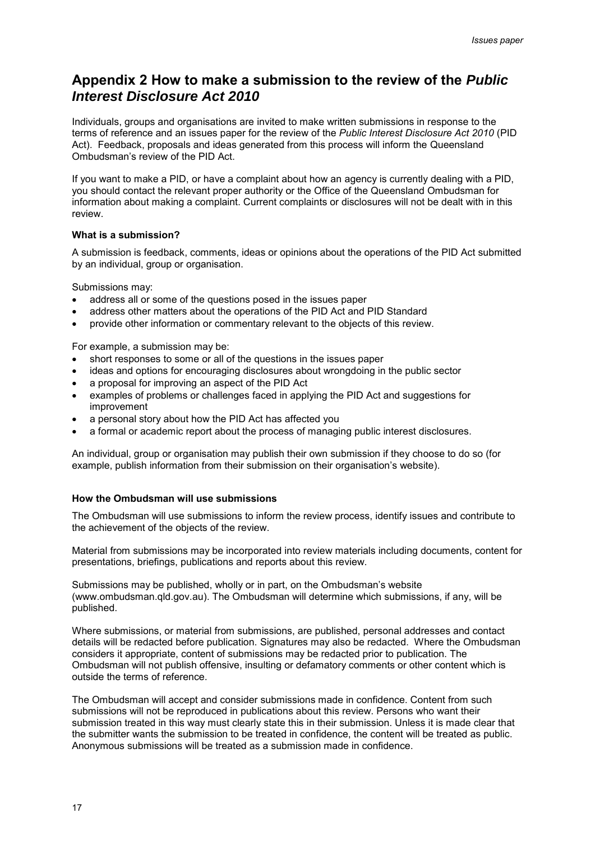# **Appendix 2 How to make a submission to the review of the** *Public Interest Disclosure Act 2010*

Individuals, groups and organisations are invited to make written submissions in response to the terms of reference and an issues paper for the review of the *Public Interest Disclosure Act 2010* (PID Act). Feedback, proposals and ideas generated from this process will inform the Queensland Ombudsman's review of the PID Act.

If you want to make a PID, or have a complaint about how an agency is currently dealing with a PID, you should contact the relevant proper authority or the Office of the Queensland Ombudsman for information about making a complaint. Current complaints or disclosures will not be dealt with in this review.

#### **What is a submission?**

A submission is feedback, comments, ideas or opinions about the operations of the PID Act submitted by an individual, group or organisation.

Submissions may:

- address all or some of the questions posed in the issues paper
- address other matters about the operations of the PID Act and PID Standard
- provide other information or commentary relevant to the objects of this review.

For example, a submission may be:

- short responses to some or all of the questions in the issues paper
- ideas and options for encouraging disclosures about wrongdoing in the public sector
- a proposal for improving an aspect of the PID Act
- examples of problems or challenges faced in applying the PID Act and suggestions for improvement
- a personal story about how the PID Act has affected you
- a formal or academic report about the process of managing public interest disclosures.

An individual, group or organisation may publish their own submission if they choose to do so (for example, publish information from their submission on their organisation's website).

#### **How the Ombudsman will use submissions**

The Ombudsman will use submissions to inform the review process, identify issues and contribute to the achievement of the objects of the review.

Material from submissions may be incorporated into review materials including documents, content for presentations, briefings, publications and reports about this review.

Submissions may be published, wholly or in part, on the Ombudsman's website [\(www.ombudsman.qld.gov.au\)](http://www.ombudsman.qld.gov.au/). The Ombudsman will determine which submissions, if any, will be published.

Where submissions, or material from submissions, are published, personal addresses and contact details will be redacted before publication. Signatures may also be redacted. Where the Ombudsman considers it appropriate, content of submissions may be redacted prior to publication. The Ombudsman will not publish offensive, insulting or defamatory comments or other content which is outside the terms of reference.

The Ombudsman will accept and consider submissions made in confidence. Content from such submissions will not be reproduced in publications about this review. Persons who want their submission treated in this way must clearly state this in their submission. Unless it is made clear that the submitter wants the submission to be treated in confidence, the content will be treated as public. Anonymous submissions will be treated as a submission made in confidence.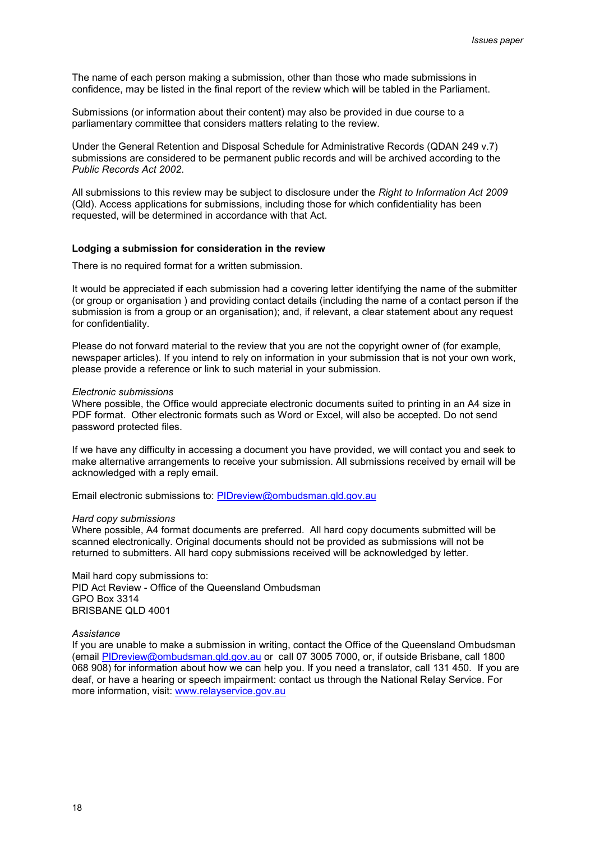The name of each person making a submission, other than those who made submissions in confidence, may be listed in the final report of the review which will be tabled in the Parliament.

Submissions (or information about their content) may also be provided in due course to a parliamentary committee that considers matters relating to the review.

Under the General Retention and Disposal Schedule for Administrative Records (QDAN 249 v.7) submissions are considered to be permanent public records and will be archived according to the *Public Records Act 2002*.

All submissions to this review may be subject to disclosure under the *Right to Information Act 2009*  (Qld). Access applications for submissions, including those for which confidentiality has been requested, will be determined in accordance with that Act.

#### **Lodging a submission for consideration in the review**

There is no required format for a written submission.

It would be appreciated if each submission had a covering letter identifying the name of the submitter (or group or organisation ) and providing contact details (including the name of a contact person if the submission is from a group or an organisation); and, if relevant, a clear statement about any request for confidentiality.

Please do not forward material to the review that you are not the copyright owner of (for example, newspaper articles). If you intend to rely on information in your submission that is not your own work, please provide a reference or link to such material in your submission.

#### *Electronic submissions*

Where possible, the Office would appreciate electronic documents suited to printing in an A4 size in PDF format. Other electronic formats such as Word or Excel, will also be accepted. Do not send password protected files.

If we have any difficulty in accessing a document you have provided, we will contact you and seek to make alternative arrangements to receive your submission. All submissions received by email will be acknowledged with a reply email.

Email electronic submissions to: [PIDreview@ombudsman.qld.gov.au](mailto:PIDreview@ombudsman.qld.gov.au)

#### *Hard copy submissions*

Where possible, A4 format documents are preferred. All hard copy documents submitted will be scanned electronically. Original documents should not be provided as submissions will not be returned to submitters. All hard copy submissions received will be acknowledged by letter.

Mail hard copy submissions to: PID Act Review - Office of the Queensland Ombudsman GPO Box 3314 BRISBANE QLD 4001

#### *Assistance*

If you are unable to make a submission in writing, contact the Office of the Queensland Ombudsman (email [PIDreview@ombudsman.qld.gov.au](mailto:PIDreview@ombudsman.qld.gov.au) or call 07 3005 7000, or, if outside Brisbane, call 1800 068 908) for information about how we can help you. If you need a translator, call 131 450. If you are deaf, or have a hearing or speech impairment: contact us through the [National Relay Service.](http://relayservice.gov.au/support/training/nrs-call-numbers/) For more information, visit: [www.relayservice.gov.au](http://www.relayservice.gov.au/)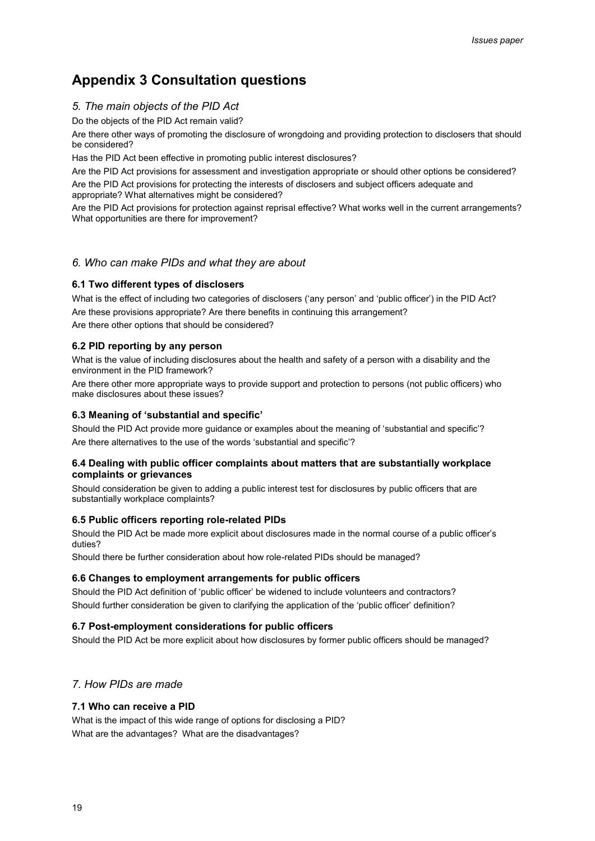# **Appendix 3 Consultation questions**

# *5. The main objects of the PID Act*

Do the objects of the PID Act remain valid?

Are there other ways of promoting the disclosure of wrongdoing and providing protection to disclosers that should be considered?

Has the PID Act been effective in promoting public interest disclosures?

Are the PID Act provisions for assessment and investigation appropriate or should other options be considered?

Are the PID Act provisions for protecting the interests of disclosers and subject officers adequate and appropriate? What alternatives might be considered?

Are the PID Act provisions for protection against reprisal effective? What works well in the current arrangements? What opportunities are there for improvement?

### *6. Who can make PIDs and what they are about*

### **6.1 Two different types of disclosers**

What is the effect of including two categories of disclosers ('any person' and 'public officer') in the PID Act? Are these provisions appropriate? Are there benefits in continuing this arrangement?

Are there other options that should be considered?

#### **6.2 PID reporting by any person**

What is the value of including disclosures about the health and safety of a person with a disability and the environment in the PID framework?

Are there other more appropriate ways to provide support and protection to persons (not public officers) who make disclosures about these issues?

### **6.3 Meaning of 'substantial and specific'**

Should the PID Act provide more guidance or examples about the meaning of 'substantial and specific'? Are there alternatives to the use of the words 'substantial and specific'?

#### **6.4 Dealing with public officer complaints about matters that are substantially workplace complaints or grievances**

Should consideration be given to adding a public interest test for disclosures by public officers that are substantially workplace complaints?

#### **6.5 Public officers reporting role-related PIDs**

Should the PID Act be made more explicit about disclosures made in the normal course of a public officer's duties?

Should there be further consideration about how role-related PIDs should be managed?

#### **6.6 Changes to employment arrangements for public officers**

Should the PID Act definition of 'public officer' be widened to include volunteers and contractors? Should further consideration be given to clarifying the application of the 'public officer' definition?

#### **6.7 Post-employment considerations for public officers**

Should the PID Act be more explicit about how disclosures by former public officers should be managed?

# *7. How PIDs are made*

#### **7.1 Who can receive a PID**

What is the impact of this wide range of options for disclosing a PID? What are the advantages? What are the disadvantages?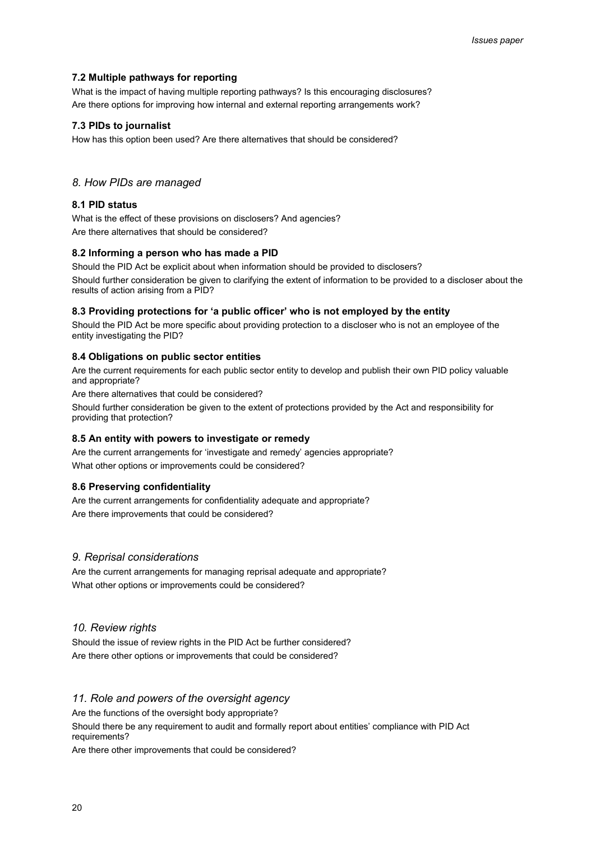#### **7.2 Multiple pathways for reporting**

What is the impact of having multiple reporting pathways? Is this encouraging disclosures? Are there options for improving how internal and external reporting arrangements work?

#### **7.3 PIDs to journalist**

How has this option been used? Are there alternatives that should be considered?

#### *8. How PIDs are managed*

#### **8.1 PID status**

What is the effect of these provisions on disclosers? And agencies? Are there alternatives that should be considered?

#### **8.2 Informing a person who has made a PID**

Should the PID Act be explicit about when information should be provided to disclosers? Should further consideration be given to clarifying the extent of information to be provided to a discloser about the results of action arising from a PID?

#### **8.3 Providing protections for 'a public officer' who is not employed by the entity**

Should the PID Act be more specific about providing protection to a discloser who is not an employee of the entity investigating the PID?

#### **8.4 Obligations on public sector entities**

Are the current requirements for each public sector entity to develop and publish their own PID policy valuable and appropriate?

Are there alternatives that could be considered?

Should further consideration be given to the extent of protections provided by the Act and responsibility for providing that protection?

#### **8.5 An entity with powers to investigate or remedy**

Are the current arrangements for 'investigate and remedy' agencies appropriate? What other options or improvements could be considered?

#### **8.6 Preserving confidentiality**

Are the current arrangements for confidentiality adequate and appropriate? Are there improvements that could be considered?

#### *9. Reprisal considerations*

Are the current arrangements for managing reprisal adequate and appropriate? What other options or improvements could be considered?

#### *10. Review rights*

Should the issue of review rights in the PID Act be further considered? Are there other options or improvements that could be considered?

#### *11. Role and powers of the oversight agency*

Are the functions of the oversight body appropriate?

Should there be any requirement to audit and formally report about entities' compliance with PID Act requirements?

Are there other improvements that could be considered?